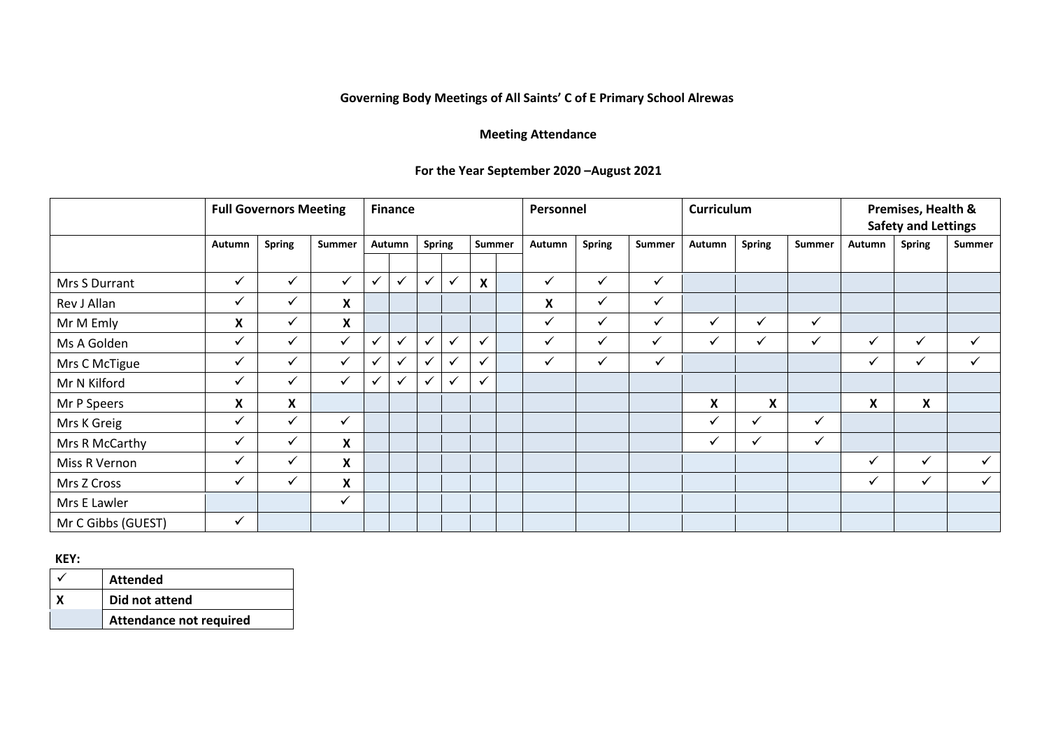## **Governing Body Meetings of All Saints' C of E Primary School Alrewas**

## **Meeting Attendance**

## **For the Year September 2020 –August 2021**

|                    | <b>Full Governors Meeting</b> |               |                           |              | <b>Finance</b> |               |              |                  |  |        | Personnel     |               | <b>Curriculum</b> |               |              | Premises, Health &<br><b>Safety and Lettings</b> |               |              |
|--------------------|-------------------------------|---------------|---------------------------|--------------|----------------|---------------|--------------|------------------|--|--------|---------------|---------------|-------------------|---------------|--------------|--------------------------------------------------|---------------|--------------|
|                    | Autumn                        | <b>Spring</b> | Summer                    | Autumn       |                | <b>Spring</b> |              | Summer           |  | Autumn | <b>Spring</b> | <b>Summer</b> | Autumn            | <b>Spring</b> | Summer       | Autumn                                           | <b>Spring</b> | Summer       |
|                    |                               |               |                           |              |                |               |              |                  |  |        |               |               |                   |               |              |                                                  |               |              |
| Mrs S Durrant      | $\checkmark$                  | $\checkmark$  | $\checkmark$              | ✓            | ╰              | $\checkmark$  | $\checkmark$ | $\boldsymbol{X}$ |  | ✓      | $\checkmark$  | $\checkmark$  |                   |               |              |                                                  |               |              |
| Rev J Allan        | ✓                             | $\checkmark$  | X                         |              |                |               |              |                  |  | Χ      | ✓             | $\checkmark$  |                   |               |              |                                                  |               |              |
| Mr M Emly          | X                             | $\checkmark$  | X                         |              |                |               |              |                  |  | ✓      | $\checkmark$  | $\checkmark$  | ✓                 | $\checkmark$  | ✓            |                                                  |               |              |
| Ms A Golden        | $\checkmark$                  | $\checkmark$  | $\checkmark$              | $\checkmark$ | $\checkmark$   | ✓             | $\checkmark$ | $\checkmark$     |  | ✓      | $\checkmark$  | ✓             | $\checkmark$      | $\checkmark$  | $\checkmark$ | $\checkmark$                                     | $\checkmark$  | $\checkmark$ |
| Mrs C McTigue      | $\checkmark$                  | $\checkmark$  | ✓                         | ✓            | ╰              | ✔             |              | $\checkmark$     |  | ✓      | ✓             | $\checkmark$  |                   |               |              | $\checkmark$                                     | ✓             | ✓            |
| Mr N Kilford       | $\checkmark$                  | $\checkmark$  | $\checkmark$              | $\checkmark$ | $\checkmark$   |               |              | $\checkmark$     |  |        |               |               |                   |               |              |                                                  |               |              |
| Mr P Speers        | X                             | X             |                           |              |                |               |              |                  |  |        |               |               | X                 | X             |              | X                                                | X             |              |
| Mrs K Greig        | ✓                             | $\checkmark$  | $\checkmark$              |              |                |               |              |                  |  |        |               |               | ✓                 | ✓             | ✓            |                                                  |               |              |
| Mrs R McCarthy     | $\checkmark$                  | $\checkmark$  | X                         |              |                |               |              |                  |  |        |               |               | ✓                 | ✓             | ✓            |                                                  |               |              |
| Miss R Vernon      | ✓                             | $\checkmark$  | X                         |              |                |               |              |                  |  |        |               |               |                   |               |              | $\checkmark$                                     | $\checkmark$  |              |
| Mrs Z Cross        | $\checkmark$                  | ✔             | $\boldsymbol{\mathsf{X}}$ |              |                |               |              |                  |  |        |               |               |                   |               |              | ✓                                                | $\checkmark$  |              |
| Mrs E Lawler       |                               |               | $\checkmark$              |              |                |               |              |                  |  |        |               |               |                   |               |              |                                                  |               |              |
| Mr C Gibbs (GUEST) | ✓                             |               |                           |              |                |               |              |                  |  |        |               |               |                   |               |              |                                                  |               |              |

## **KEY:**

| <b>Attended</b>                |
|--------------------------------|
| Did not attend                 |
| <b>Attendance not required</b> |